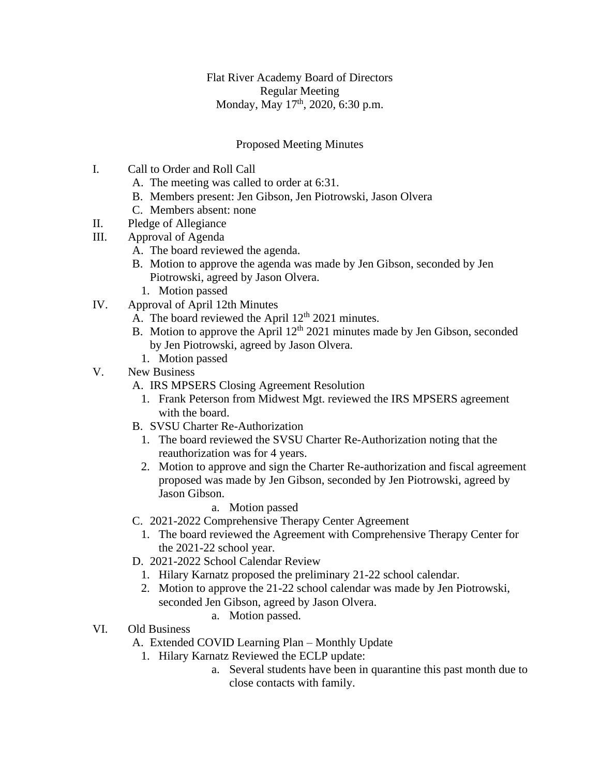Flat River Academy Board of Directors Regular Meeting Monday, May 17<sup>th</sup>, 2020, 6:30 p.m.

## Proposed Meeting Minutes

- I. Call to Order and Roll Call
	- A. The meeting was called to order at 6:31.
	- B. Members present: Jen Gibson, Jen Piotrowski, Jason Olvera
	- C. Members absent: none
- II. Pledge of Allegiance
- III. Approval of Agenda
	- A. The board reviewed the agenda.
	- B. Motion to approve the agenda was made by Jen Gibson, seconded by Jen Piotrowski, agreed by Jason Olvera.
		- 1. Motion passed
- IV. Approval of April 12th Minutes
	- A. The board reviewed the April  $12<sup>th</sup> 2021$  minutes.
	- B. Motion to approve the April  $12<sup>th</sup> 2021$  minutes made by Jen Gibson, seconded by Jen Piotrowski, agreed by Jason Olvera.
		- 1. Motion passed
- V. New Business
	- A. IRS MPSERS Closing Agreement Resolution
		- 1. Frank Peterson from Midwest Mgt. reviewed the IRS MPSERS agreement with the board.
	- B. SVSU Charter Re-Authorization
		- 1. The board reviewed the SVSU Charter Re-Authorization noting that the reauthorization was for 4 years.
		- 2. Motion to approve and sign the Charter Re-authorization and fiscal agreement proposed was made by Jen Gibson, seconded by Jen Piotrowski, agreed by Jason Gibson.
			- a. Motion passed
	- C. 2021-2022 Comprehensive Therapy Center Agreement
		- 1. The board reviewed the Agreement with Comprehensive Therapy Center for the 2021-22 school year.
	- D. 2021-2022 School Calendar Review
		- 1. Hilary Karnatz proposed the preliminary 21-22 school calendar.
		- 2. Motion to approve the 21-22 school calendar was made by Jen Piotrowski, seconded Jen Gibson, agreed by Jason Olvera.
			- a. Motion passed.
- VI. Old Business
	- A. Extended COVID Learning Plan Monthly Update
		- 1. Hilary Karnatz Reviewed the ECLP update:
			- a. Several students have been in quarantine this past month due to close contacts with family.